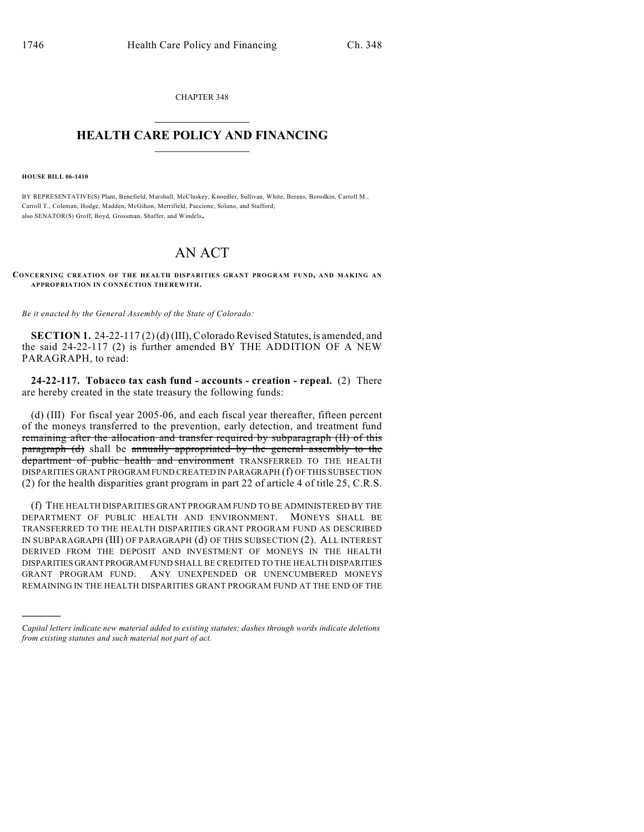CHAPTER 348  $\mathcal{L}_\text{max}$  . The set of the set of the set of the set of the set of the set of the set of the set of the set of the set of the set of the set of the set of the set of the set of the set of the set of the set of the set

## **HEALTH CARE POLICY AND FINANCING**  $\_$   $\_$   $\_$   $\_$   $\_$   $\_$   $\_$   $\_$

**HOUSE BILL 06-1410**

)))))

BY REPRESENTATIVE(S) Plant, Benefield, Marshall, McCluskey, Knoedler, Sullivan, White, Berens, Borodkin, Carroll M., Carroll T., Coleman, Hodge, Madden, McGihon, Merrifield, Paccione, Solano, and Stafford; also SENATOR(S) Groff, Boyd, Grossman, Shaffer, and Windels.

## AN ACT

**CONCERNING CREATION OF THE HEALTH DISPARITIES GRANT PROGRAM FUND, AND MAKING AN APPROPRIATION IN CONNECTION THEREWITH.**

*Be it enacted by the General Assembly of the State of Colorado:*

**SECTION 1.** 24-22-117 (2) (d) (III), Colorado Revised Statutes, is amended, and the said 24-22-117 (2) is further amended BY THE ADDITION OF A NEW PARAGRAPH, to read:

**24-22-117. Tobacco tax cash fund - accounts - creation - repeal.** (2) There are hereby created in the state treasury the following funds:

(d) (III) For fiscal year 2005-06, and each fiscal year thereafter, fifteen percent of the moneys transferred to the prevention, early detection, and treatment fund remaining after the allocation and transfer required by subparagraph (II) of this paragraph (d) shall be annually appropriated by the general assembly to the department of public health and environment TRANSFERRED TO THE HEALTH DISPARITIES GRANT PROGRAM FUND CREATED IN PARAGRAPH (f) OF THIS SUBSECTION (2) for the health disparities grant program in part 22 of article 4 of title 25, C.R.S.

(f) THE HEALTH DISPARITIES GRANT PROGRAM FUND TO BE ADMINISTERED BY THE DEPARTMENT OF PUBLIC HEALTH AND ENVIRONMENT. MONEYS SHALL BE TRANSFERRED TO THE HEALTH DISPARITIES GRANT PROGRAM FUND AS DESCRIBED IN SUBPARAGRAPH (III) OF PARAGRAPH (d) OF THIS SUBSECTION (2). ALL INTEREST DERIVED FROM THE DEPOSIT AND INVESTMENT OF MONEYS IN THE HEALTH DISPARITIES GRANT PROGRAM FUND SHALL BE CREDITED TO THE HEALTH DISPARITIES GRANT PROGRAM FUND. ANY UNEXPENDED OR UNENCUMBERED MONEYS REMAINING IN THE HEALTH DISPARITIES GRANT PROGRAM FUND AT THE END OF THE

*Capital letters indicate new material added to existing statutes; dashes through words indicate deletions from existing statutes and such material not part of act.*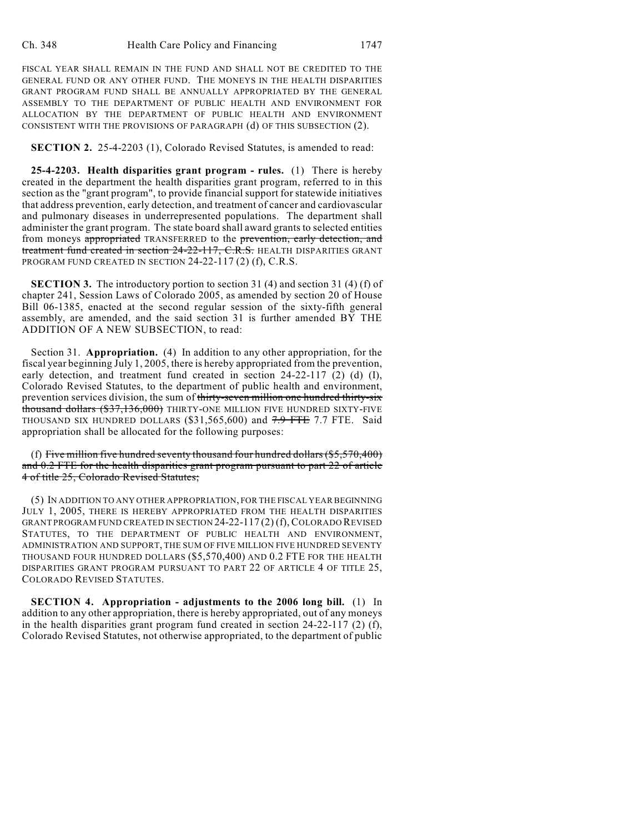FISCAL YEAR SHALL REMAIN IN THE FUND AND SHALL NOT BE CREDITED TO THE GENERAL FUND OR ANY OTHER FUND. THE MONEYS IN THE HEALTH DISPARITIES GRANT PROGRAM FUND SHALL BE ANNUALLY APPROPRIATED BY THE GENERAL ASSEMBLY TO THE DEPARTMENT OF PUBLIC HEALTH AND ENVIRONMENT FOR ALLOCATION BY THE DEPARTMENT OF PUBLIC HEALTH AND ENVIRONMENT CONSISTENT WITH THE PROVISIONS OF PARAGRAPH (d) OF THIS SUBSECTION (2).

**SECTION 2.** 25-4-2203 (1), Colorado Revised Statutes, is amended to read:

**25-4-2203. Health disparities grant program - rules.** (1) There is hereby created in the department the health disparities grant program, referred to in this section as the "grant program", to provide financial support for statewide initiatives that address prevention, early detection, and treatment of cancer and cardiovascular and pulmonary diseases in underrepresented populations. The department shall administer the grant program. The state board shall award grants to selected entities from moneys appropriated TRANSFERRED to the prevention, early detection, and treatment fund created in section 24-22-117, C.R.S. HEALTH DISPARITIES GRANT PROGRAM FUND CREATED IN SECTION 24-22-117 (2) (f), C.R.S.

**SECTION 3.** The introductory portion to section 31 (4) and section 31 (4) (f) of chapter 241, Session Laws of Colorado 2005, as amended by section 20 of House Bill 06-1385, enacted at the second regular session of the sixty-fifth general assembly, are amended, and the said section 31 is further amended BY THE ADDITION OF A NEW SUBSECTION, to read:

Section 31. **Appropriation.** (4) In addition to any other appropriation, for the fiscal year beginning July 1, 2005, there is hereby appropriated from the prevention, early detection, and treatment fund created in section 24-22-117 (2) (d) (I), Colorado Revised Statutes, to the department of public health and environment, prevention services division, the sum of thirty-seven million one hundred thirty-six thousand dollars (\$37,136,000) THIRTY-ONE MILLION FIVE HUNDRED SIXTY-FIVE THOUSAND SIX HUNDRED DOLLARS (\$31,565,600) and  $7.9$  FTE  $7.7$  FTE. Said appropriation shall be allocated for the following purposes:

(f) Five million five hundred seventy thousand four hundred dollars  $(\$5,570,400)$ and 0.2 FTE for the health disparities grant program pursuant to part 22 of article 4 of title 25, Colorado Revised Statutes;

(5) IN ADDITION TO ANY OTHER APPROPRIATION, FOR THE FISCAL YEAR BEGINNING JULY 1, 2005, THERE IS HEREBY APPROPRIATED FROM THE HEALTH DISPARITIES GRANT PROGRAM FUND CREATED IN SECTION 24-22-117 (2) (f), COLORADO REVISED STATUTES, TO THE DEPARTMENT OF PUBLIC HEALTH AND ENVIRONMENT, ADMINISTRATION AND SUPPORT, THE SUM OF FIVE MILLION FIVE HUNDRED SEVENTY THOUSAND FOUR HUNDRED DOLLARS (\$5,570,400) AND 0.2 FTE FOR THE HEALTH DISPARITIES GRANT PROGRAM PURSUANT TO PART 22 OF ARTICLE 4 OF TITLE 25, COLORADO REVISED STATUTES.

**SECTION 4. Appropriation - adjustments to the 2006 long bill.** (1) In addition to any other appropriation, there is hereby appropriated, out of any moneys in the health disparities grant program fund created in section 24-22-117 (2) (f), Colorado Revised Statutes, not otherwise appropriated, to the department of public